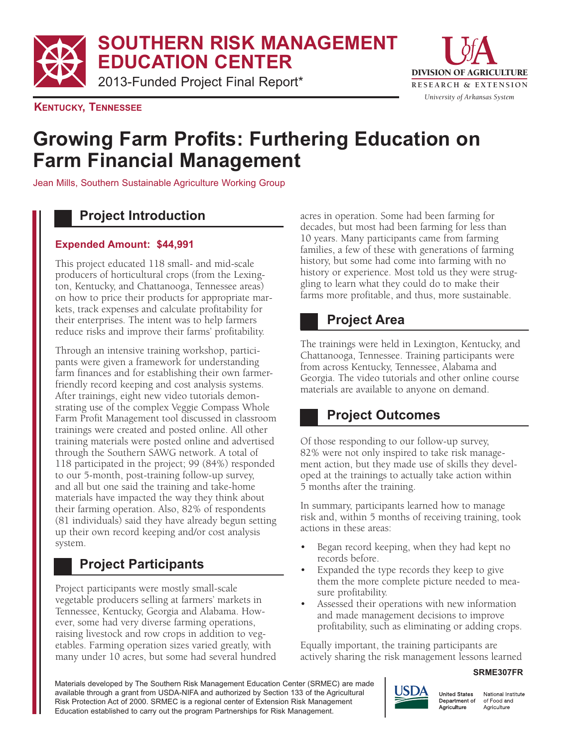**SOUTHERN RISK MANAGEMENT EDUCATION CENTER**

2013-Funded Project Final Report\*



**KENTUCKY, TENNESSEE**

# **Growing Farm Profits: Furthering Education on Farm Financial Management**

Jean Mills, Southern Sustainable Agriculture Working Group

### **Project Introduction**

#### **Expended Amount: \$44,991**

This project educated 118 small- and mid-scale producers of horticultural crops (from the Lexington, Kentucky, and Chattanooga, Tennessee areas) on how to price their products for appropriate markets, track expenses and calculate profitability for their enterprises. The intent was to help farmers reduce risks and improve their farms' profitability.

Through an intensive training workshop, participants were given a framework for understanding farm finances and for establishing their own farmerfriendly record keeping and cost analysis systems. After trainings, eight new video tutorials demonstrating use of the complex Veggie Compass Whole Farm Profit Management tool discussed in classroom trainings were created and posted online. All other training materials were posted online and advertised through the Southern SAWG network. A total of 118 participated in the project; 99 (84%) responded to our 5-month, post-training follow-up survey, and all but one said the training and take-home materials have impacted the way they think about their farming operation. Also, 82% of respondents (81 individuals) said they have already begun setting up their own record keeping and/or cost analysis system.

# **Project Participants**

Project participants were mostly small-scale vegetable producers selling at farmers' markets in Tennessee, Kentucky, Georgia and Alabama. However, some had very diverse farming operations, raising livestock and row crops in addition to vegetables. Farming operation sizes varied greatly, with many under 10 acres, but some had several hundred acres in operation. Some had been farming for decades, but most had been farming for less than 10 years. Many participants came from farming families, a few of these with generations of farming history, but some had come into farming with no history or experience. Most told us they were struggling to learn what they could do to make their farms more profitable, and thus, more sustainable.

## **Project Area**

The trainings were held in Lexington, Kentucky, and Chattanooga, Tennessee. Training participants were from across Kentucky, Tennessee, Alabama and Georgia. The video tutorials and other online course materials are available to anyone on demand.

# **Project Outcomes**

Of those responding to our follow-up survey, 82% were not only inspired to take risk management action, but they made use of skills they developed at the trainings to actually take action within 5 months after the training.

In summary, participants learned how to manage risk and, within 5 months of receiving training, took actions in these areas:

- Began record keeping, when they had kept no records before.
- Expanded the type records they keep to give them the more complete picture needed to measure profitability.
- Assessed their operations with new information and made management decisions to improve profitability, such as eliminating or adding crops.

Equally important, the training participants are actively sharing the risk management lessons learned

#### **SRME307FR**

Materials developed by The Southern Risk Management Education Center (SRMEC) are made available through a grant from USDA-NIFA and authorized by Section 133 of the Agricultural Risk Protection Act of 2000. SRMEC is a regional center of Extension Risk Management Education established to carry out the program Partnerships for Risk Management.



National Institute of Food and Agriculture